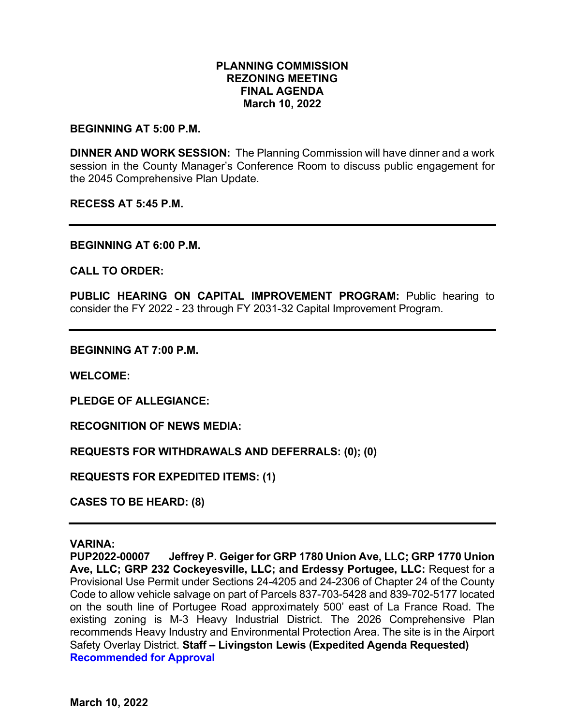## **PLANNING COMMISSION REZONING MEETING FINAL AGENDA March 10, 2022**

#### **BEGINNING AT 5:00 P.M.**

**DINNER AND WORK SESSION:** The Planning Commission will have dinner and a work session in the County Manager's Conference Room to discuss public engagement for the 2045 Comprehensive Plan Update.

**RECESS AT 5:45 P.M.**

**BEGINNING AT 6:00 P.M.**

**CALL TO ORDER:**

**PUBLIC HEARING ON CAPITAL IMPROVEMENT PROGRAM:** Public hearing to consider the FY 2022 - 23 through FY 2031-32 Capital Improvement Program.

**BEGINNING AT 7:00 P.M.**

**WELCOME:**

**PLEDGE OF ALLEGIANCE:**

**RECOGNITION OF NEWS MEDIA:**

**REQUESTS FOR WITHDRAWALS AND DEFERRALS: (0); (0)**

**REQUESTS FOR EXPEDITED ITEMS: (1)**

**CASES TO BE HEARD: (8)** 

#### **VARINA:**

**PUP2022-00007 Jeffrey P. Geiger for GRP 1780 Union Ave, LLC; GRP 1770 Union Ave, LLC; GRP 232 Cockeyesville, LLC; and Erdessy Portugee, LLC:** Request for a Provisional Use Permit under Sections 24-4205 and 24-2306 of Chapter 24 of the County Code to allow vehicle salvage on part of Parcels 837-703-5428 and 839-702-5177 located on the south line of Portugee Road approximately 500' east of La France Road. The existing zoning is M-3 Heavy Industrial District. The 2026 Comprehensive Plan recommends Heavy Industry and Environmental Protection Area. The site is in the Airport Safety Overlay District. **Staff – Livingston Lewis (Expedited Agenda Requested) Recommended for Approval**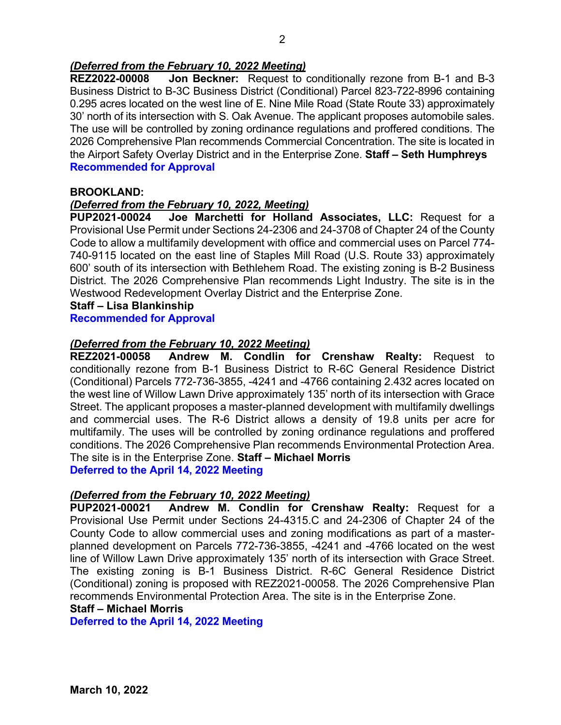## *(Deferred from the February 10, 2022 Meeting)*

**REZ2022-00008 Jon Beckner:** Request to conditionally rezone from B-1 and B-3 Business District to B-3C Business District (Conditional) Parcel 823-722-8996 containing 0.295 acres located on the west line of E. Nine Mile Road (State Route 33) approximately 30' north of its intersection with S. Oak Avenue. The applicant proposes automobile sales. The use will be controlled by zoning ordinance regulations and proffered conditions. The 2026 Comprehensive Plan recommends Commercial Concentration. The site is located in the Airport Safety Overlay District and in the Enterprise Zone. **Staff – Seth Humphreys Recommended for Approval**

## **BROOKLAND:**

# *(Deferred from the February 10, 2022, Meeting)*

**Joe Marchetti for Holland Associates, LLC: Request for a** Provisional Use Permit under Sections 24-2306 and 24-3708 of Chapter 24 of the County Code to allow a multifamily development with office and commercial uses on Parcel 774- 740-9115 located on the east line of Staples Mill Road (U.S. Route 33) approximately 600' south of its intersection with Bethlehem Road. The existing zoning is B-2 Business District. The 2026 Comprehensive Plan recommends Light Industry. The site is in the Westwood Redevelopment Overlay District and the Enterprise Zone.

**Staff – Lisa Blankinship**

#### **Recommended for Approval**

## *(Deferred from the February 10, 2022 Meeting)*

**REZ2021-00058 Andrew M. Condlin for Crenshaw Realty:** Request to conditionally rezone from B-1 Business District to R-6C General Residence District (Conditional) Parcels 772-736-3855, -4241 and -4766 containing 2.432 acres located on the west line of Willow Lawn Drive approximately 135' north of its intersection with Grace Street. The applicant proposes a master-planned development with multifamily dwellings and commercial uses. The R-6 District allows a density of 19.8 units per acre for multifamily. The uses will be controlled by zoning ordinance regulations and proffered conditions. The 2026 Comprehensive Plan recommends Environmental Protection Area. The site is in the Enterprise Zone. **Staff – Michael Morris Deferred to the April 14, 2022 Meeting**

#### *(Deferred from the February 10, 2022 Meeting)*

**PUP2021-00021 Andrew M. Condlin for Crenshaw Realty:** Request for a Provisional Use Permit under Sections 24-4315.C and 24-2306 of Chapter 24 of the County Code to allow commercial uses and zoning modifications as part of a masterplanned development on Parcels 772-736-3855, -4241 and -4766 located on the west line of Willow Lawn Drive approximately 135' north of its intersection with Grace Street. The existing zoning is B-1 Business District. R-6C General Residence District (Conditional) zoning is proposed with REZ2021-00058. The 2026 Comprehensive Plan recommends Environmental Protection Area. The site is in the Enterprise Zone.

## **Staff – Michael Morris**

**Deferred to the April 14, 2022 Meeting**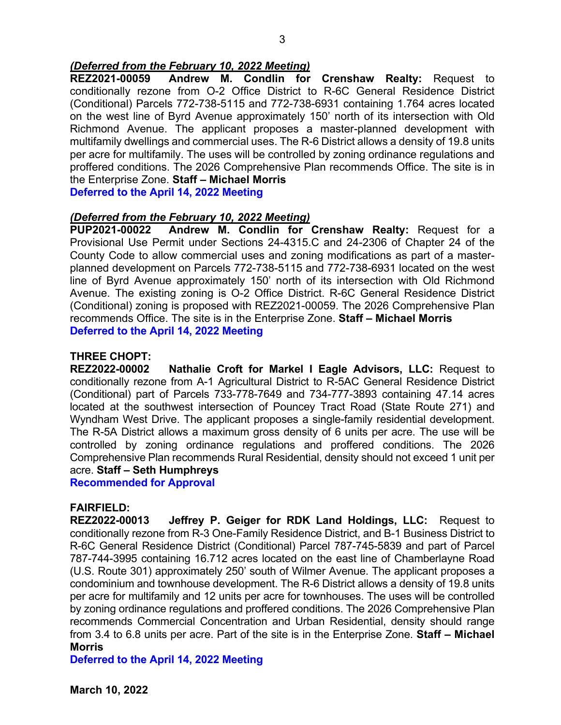## *(Deferred from the February 10, 2022 Meeting)*

**REZ2021-00059 Andrew M. Condlin for Crenshaw Realty:** Request to conditionally rezone from O-2 Office District to R-6C General Residence District (Conditional) Parcels 772-738-5115 and 772-738-6931 containing 1.764 acres located on the west line of Byrd Avenue approximately 150' north of its intersection with Old Richmond Avenue. The applicant proposes a master-planned development with multifamily dwellings and commercial uses. The R-6 District allows a density of 19.8 units per acre for multifamily. The uses will be controlled by zoning ordinance regulations and proffered conditions. The 2026 Comprehensive Plan recommends Office. The site is in the Enterprise Zone. **Staff – Michael Morris**

**Deferred to the April 14, 2022 Meeting**

#### *(Deferred from the February 10, 2022 Meeting)*

**PUP2021-00022 Andrew M. Condlin for Crenshaw Realty:** Request for a Provisional Use Permit under Sections 24-4315.C and 24-2306 of Chapter 24 of the County Code to allow commercial uses and zoning modifications as part of a masterplanned development on Parcels 772-738-5115 and 772-738-6931 located on the west line of Byrd Avenue approximately 150' north of its intersection with Old Richmond Avenue. The existing zoning is O-2 Office District. R-6C General Residence District (Conditional) zoning is proposed with REZ2021-00059. The 2026 Comprehensive Plan recommends Office. The site is in the Enterprise Zone. **Staff – Michael Morris Deferred to the April 14, 2022 Meeting**

## **THREE CHOPT:**

**REZ2022-00002 Nathalie Croft for Markel I Eagle Advisors, LLC:** Request to conditionally rezone from A-1 Agricultural District to R-5AC General Residence District (Conditional) part of Parcels 733-778-7649 and 734-777-3893 containing 47.14 acres located at the southwest intersection of Pouncey Tract Road (State Route 271) and Wyndham West Drive. The applicant proposes a single-family residential development. The R-5A District allows a maximum gross density of 6 units per acre. The use will be controlled by zoning ordinance regulations and proffered conditions. The 2026 Comprehensive Plan recommends Rural Residential, density should not exceed 1 unit per acre. **Staff – Seth Humphreys**

**Recommended for Approval**

#### **FAIRFIELD:**

**REZ2022-00013 Jeffrey P. Geiger for RDK Land Holdings, LLC:** Request to conditionally rezone from R-3 One-Family Residence District, and B-1 Business District to R-6C General Residence District (Conditional) Parcel 787-745-5839 and part of Parcel 787-744-3995 containing 16.712 acres located on the east line of Chamberlayne Road (U.S. Route 301) approximately 250' south of Wilmer Avenue. The applicant proposes a condominium and townhouse development. The R-6 District allows a density of 19.8 units per acre for multifamily and 12 units per acre for townhouses. The uses will be controlled by zoning ordinance regulations and proffered conditions. The 2026 Comprehensive Plan recommends Commercial Concentration and Urban Residential, density should range from 3.4 to 6.8 units per acre. Part of the site is in the Enterprise Zone. **Staff – Michael Morris**

**Deferred to the April 14, 2022 Meeting**